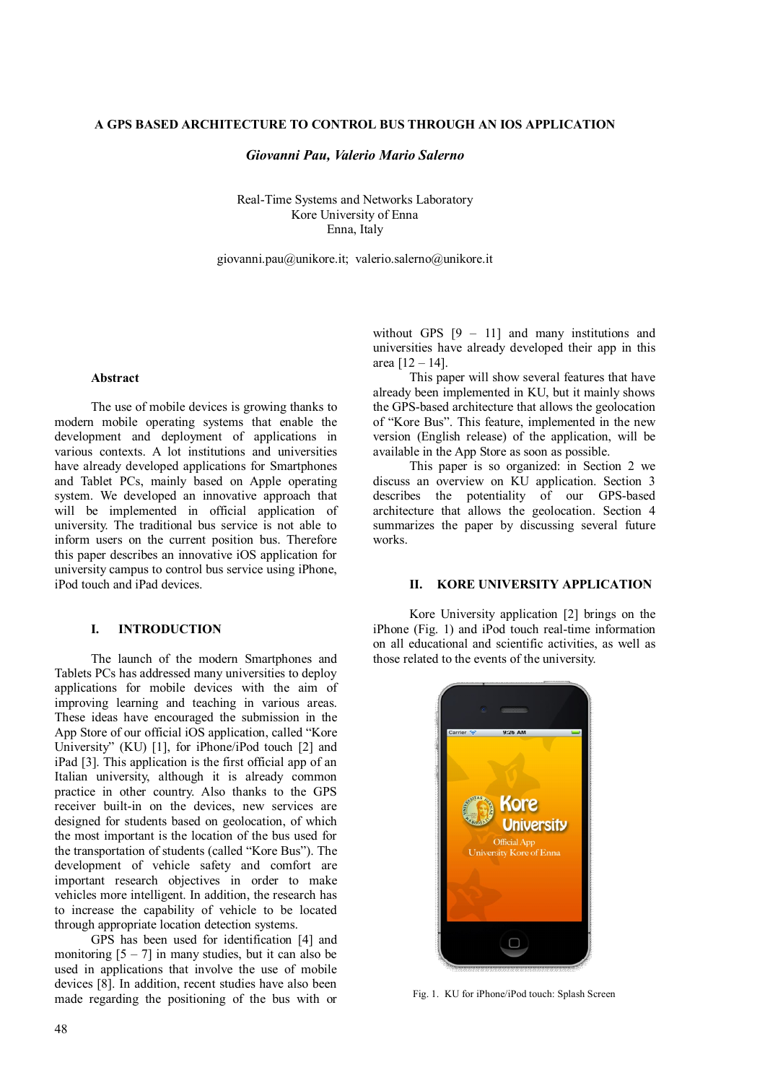## **A GPS BASED ARCHITECTURE TO CONTROL BUS THROUGH AN IOS APPLICATION**

### *Giovanni Pau, Valerio Mario Salerno*

Real-Time Systems and Networks Laboratory Kore University of Enna Enna, Italy

giovanni.pau@unikore.it; valerio.salerno@unikore.it

#### **Abstract**

The use of mobile devices is growing thanks to modern mobile operating systems that enable the development and deployment of applications in various contexts. A lot institutions and universities have already developed applications for Smartphones and Tablet PCs, mainly based on Apple operating system. We developed an innovative approach that will be implemented in official application of university. The traditional bus service is not able to inform users on the current position bus. Therefore this paper describes an innovative iOS application for university campus to control bus service using iPhone, iPod touch and iPad devices.

# **I. INTRODUCTION**

The launch of the modern Smartphones and Tablets PCs has addressed many universities to deploy applications for mobile devices with the aim of improving learning and teaching in various areas. These ideas have encouraged the submission in the App Store of our official iOS application, called "Kore University" (KU) [1], for iPhone/iPod touch [2] and iPad [3]. This application is the first official app of an Italian university, although it is already common practice in other country. Also thanks to the GPS receiver built-in on the devices, new services are designed for students based on geolocation, of which the most important is the location of the bus used for the transportation of students (called "Kore Bus"). The development of vehicle safety and comfort are important research objectives in order to make vehicles more intelligent. In addition, the research has to increase the capability of vehicle to be located through appropriate location detection systems.

GPS has been used for identification [4] and monitoring  $[5 - 7]$  in many studies, but it can also be used in applications that involve the use of mobile devices [8]. In addition, recent studies have also been made regarding the positioning of the bus with or

without GPS  $[9 - 11]$  and many institutions and universities have already developed their app in this area [12 – 14].

This paper will show several features that have already been implemented in KU, but it mainly shows the GPS-based architecture that allows the geolocation of "Kore Bus". This feature, implemented in the new version (English release) of the application, will be available in the App Store as soon as possible.

This paper is so organized: in Section 2 we discuss an overview on KU application. Section 3 describes the potentiality of our GPS-based architecture that allows the geolocation. Section 4 summarizes the paper by discussing several future works.

## **II. KORE UNIVERSITY APPLICATION**

Kore University application [2] brings on the iPhone (Fig. 1) and iPod touch real-time information on all educational and scientific activities, as well as those related to the events of the university.



Fig. 1. KU for iPhone/iPod touch: Splash Screen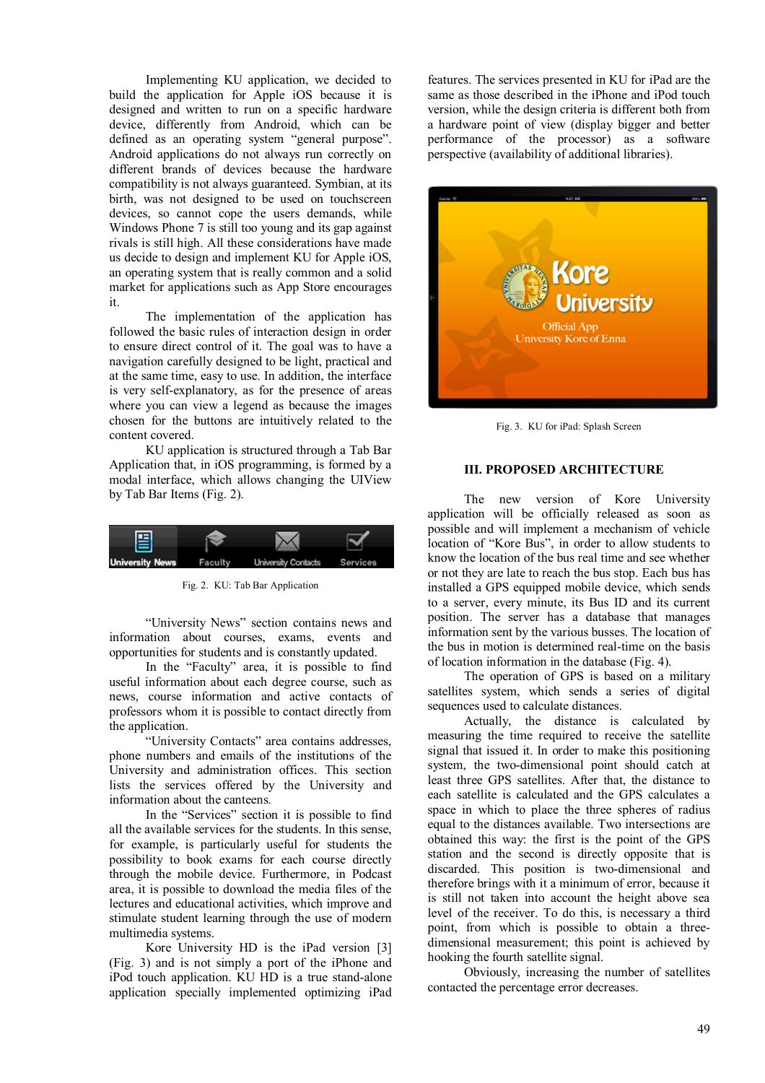Implementing KU application, we decided to build the application for Apple iOS because it is designed and written to run on a specific hardware device, differently from Android, which can be defined as an operating system "general purpose". Android applications do not always run correctly on different brands of devices because the hardware compatibility is not always guaranteed. Symbian, at its birth, was not designed to be used on touchscreen devices, so cannot cope the users demands, while Windows Phone 7 is still too young and its gap against rivals is still high. All these considerations have made us decide to design and implement KU for Apple iOS, an operating system that is really common and a solid market for applications such as App Store encourages it.

The implementation of the application has followed the basic rules of interaction design in order to ensure direct control of it. The goal was to have a navigation carefully designed to be light, practical and at the same time, easy to use. In addition, the interface is very self-explanatory, as for the presence of areas where you can view a legend as because the images chosen for the buttons are intuitively related to the content covered.

KU application is structured through a Tab Bar Application that, in iOS programming, is formed by a modal interface, which allows changing the UIView by Tab Bar Items (Fig. 2).



Fig. 2. KU: Tab Bar Application

"University News" section contains news and information about courses, exams, events and opportunities for students and is constantly updated.

In the "Faculty" area, it is possible to find useful information about each degree course, such as news, course information and active contacts of professors whom it is possible to contact directly from the application.

"University Contacts" area contains addresses, phone numbers and emails of the institutions of the University and administration offices. This section lists the services offered by the University and information about the canteens.

In the "Services" section it is possible to find all the available services for the students. In this sense, for example, is particularly useful for students the possibility to book exams for each course directly through the mobile device. Furthermore, in Podcast area, it is possible to download the media files of the lectures and educational activities, which improve and stimulate student learning through the use of modern multimedia systems.

Kore University HD is the iPad version [3] (Fig. 3) and is not simply a port of the iPhone and iPod touch application. KU HD is a true stand-alone application specially implemented optimizing iPad

features. The services presented in KU for iPad are the same as those described in the iPhone and iPod touch version, while the design criteria is different both from a hardware point of view (display bigger and better performance of the processor) as a software perspective (availability of additional libraries).



Fig. 3. KU for iPad: Splash Screen

#### **III. PROPOSED ARCHITECTURE**

The new version of Kore University application will be officially released as soon as possible and will implement a mechanism of vehicle location of "Kore Bus", in order to allow students to know the location of the bus real time and see whether or not they are late to reach the bus stop. Each bus has installed a GPS equipped mobile device, which sends to a server, every minute, its Bus ID and its current position. The server has a database that manages information sent by the various busses. The location of the bus in motion is determined real-time on the basis of location information in the database (Fig. 4).

The operation of GPS is based on a military satellites system, which sends a series of digital sequences used to calculate distances.

Actually, the distance is calculated by measuring the time required to receive the satellite signal that issued it. In order to make this positioning system, the two-dimensional point should catch at least three GPS satellites. After that, the distance to each satellite is calculated and the GPS calculates a space in which to place the three spheres of radius equal to the distances available. Two intersections are obtained this way: the first is the point of the GPS station and the second is directly opposite that is discarded. This position is two-dimensional and therefore brings with it a minimum of error, because it is still not taken into account the height above sea level of the receiver. To do this, is necessary a third point, from which is possible to obtain a threedimensional measurement; this point is achieved by hooking the fourth satellite signal.

Obviously, increasing the number of satellites contacted the percentage error decreases.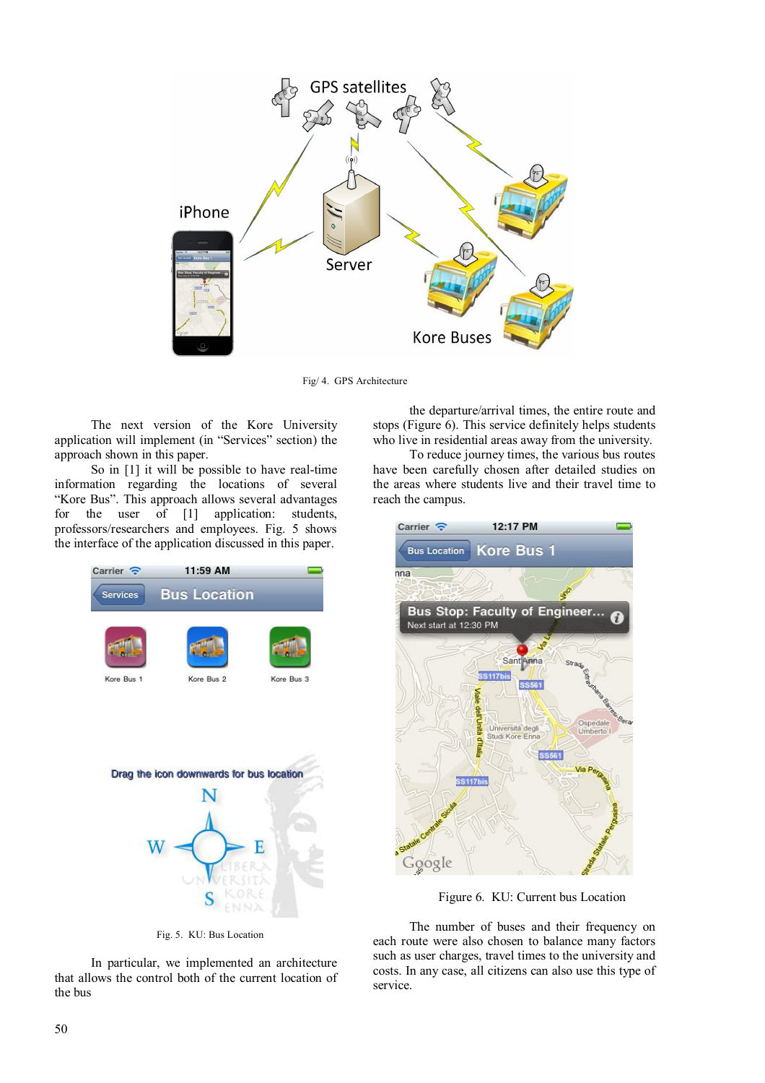

Fig/ 4. GPS Architecture

The next version of the Kore University application will implement (in "Services" section) the approach shown in this paper.

So in [1] it will be possible to have real-time information regarding the locations of several "Kore Bus". This approach allows several advantages<br>for the user of [1] application: students, the user of  $[1]$  application: students, professors/researchers and employees. Fig. 5 shows the interface of the application discussed in this paper.





Fig. 5. KU: Bus Location

In particular, we implemented an architecture that allows the control both of the current location of the bus

the departure/arrival times, the entire route and stops (Figure 6). This service definitely helps students who live in residential areas away from the university.

To reduce journey times, the various bus routes have been carefully chosen after detailed studies on the areas where students live and their travel time to reach the campus.



Figure 6. KU: Current bus Location

The number of buses and their frequency on each route were also chosen to balance many factors such as user charges, travel times to the university and costs. In any case, all citizens can also use this type of service.